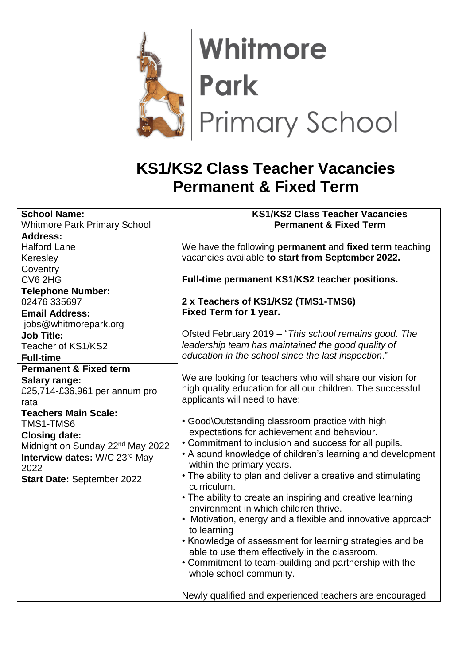

## **KS1/KS2 Class Teacher Vacancies Permanent & Fixed Term**

| <b>School Name:</b>                          | <b>KS1/KS2 Class Teacher Vacancies</b>                                            |
|----------------------------------------------|-----------------------------------------------------------------------------------|
| <b>Whitmore Park Primary School</b>          | <b>Permanent &amp; Fixed Term</b>                                                 |
| <b>Address:</b>                              |                                                                                   |
| <b>Halford Lane</b>                          | We have the following permanent and fixed term teaching                           |
| Keresley                                     | vacancies available to start from September 2022.                                 |
| Coventry                                     |                                                                                   |
| CV6 2HG                                      | Full-time permanent KS1/KS2 teacher positions.                                    |
| <b>Telephone Number:</b>                     |                                                                                   |
| 02476 335697                                 | 2 x Teachers of KS1/KS2 (TMS1-TMS6)                                               |
| <b>Email Address:</b>                        | Fixed Term for 1 year.                                                            |
| jobs@whitmorepark.org                        |                                                                                   |
| <b>Job Title:</b>                            | Ofsted February 2019 - "This school remains good. The                             |
| Teacher of KS1/KS2                           | leadership team has maintained the good quality of                                |
| <b>Full-time</b>                             | education in the school since the last inspection."                               |
| <b>Permanent &amp; Fixed term</b>            |                                                                                   |
| Salary range:                                | We are looking for teachers who will share our vision for                         |
| £25,714-£36,961 per annum pro                | high quality education for all our children. The successful                       |
| rata                                         | applicants will need to have:                                                     |
| <b>Teachers Main Scale:</b>                  |                                                                                   |
| TMS1-TMS6                                    | • Good\Outstanding classroom practice with high                                   |
| <b>Closing date:</b>                         | expectations for achievement and behaviour.                                       |
| Midnight on Sunday 22 <sup>nd</sup> May 2022 | • Commitment to inclusion and success for all pupils.                             |
| Interview dates: W/C 23rd May                | • A sound knowledge of children's learning and development                        |
| 2022                                         | within the primary years.                                                         |
| <b>Start Date: September 2022</b>            | • The ability to plan and deliver a creative and stimulating<br>curriculum.       |
|                                              | • The ability to create an inspiring and creative learning                        |
|                                              | environment in which children thrive.                                             |
|                                              | • Motivation, energy and a flexible and innovative approach                       |
|                                              | to learning                                                                       |
|                                              | • Knowledge of assessment for learning strategies and be                          |
|                                              | able to use them effectively in the classroom.                                    |
|                                              | • Commitment to team-building and partnership with the<br>whole school community. |
|                                              | Newly qualified and experienced teachers are encouraged                           |